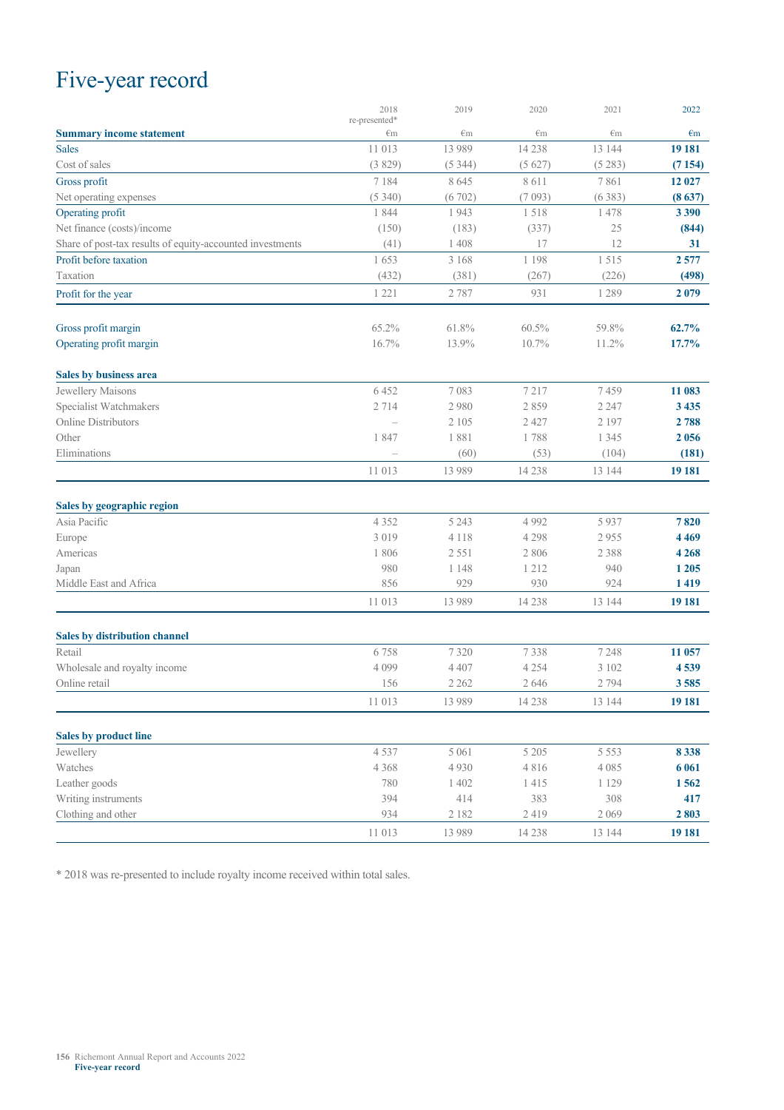## Five-year record

|                                                           | 2018                          | 2019         | 2020         | 2021         | 2022         |
|-----------------------------------------------------------|-------------------------------|--------------|--------------|--------------|--------------|
| <b>Summary income statement</b>                           | re-presented*<br>$\epsilon$ m | $\epsilon$ m | $\epsilon$ m | $\epsilon$ m | $\epsilon$ m |
| <b>Sales</b>                                              | 11 013                        | 13 9 8 9     | 14 2 38      | 13 144       | 19 18 1      |
| Cost of sales                                             | (3829)                        | (5344)       | (5627)       | (5283)       | (7154)       |
| Gross profit                                              | 7 1 8 4                       | 8645         | 8 6 1 1      | 7861         | 12 027       |
| Net operating expenses                                    | (5340)                        | (6702)       | (7093)       | (6383)       | (8637)       |
| Operating profit                                          | 1844                          | 1943         | 1518         | 1478         | 3 3 9 0      |
| Net finance (costs)/income                                | (150)                         | (183)        | (337)        | 25           | (844)        |
| Share of post-tax results of equity-accounted investments | (41)                          | 1408         | 17           | 12           | 31           |
| Profit before taxation                                    | 1653                          | 3 1 6 8      | 1 1 9 8      | 1515         | 2577         |
| Taxation                                                  | (432)                         | (381)        | (267)        | (226)        | (498)        |
| Profit for the year                                       | 1 2 2 1                       | 2787         | 931          | 1 2 8 9      | 2079         |
| Gross profit margin                                       | 65.2%                         | 61.8%        | 60.5%        | 59.8%        | 62.7%        |
| Operating profit margin                                   | 16.7%                         | 13.9%        | 10.7%        | 11.2%        | 17.7%        |
| Sales by business area                                    |                               |              |              |              |              |
| Jewellery Maisons                                         | 6452                          | 7083         | 7217         | 7459         | 11 083       |
| Specialist Watchmakers                                    | 2714                          | 2980         | 2859         | 2 2 4 7      | 3 4 3 5      |
| Online Distributors                                       |                               | 2 1 0 5      | 2 4 2 7      | 2 1 9 7      | 2 788        |
| Other                                                     | 1847                          | 1881         | 1788         | 1 3 4 5      | 2 0 5 6      |
| Eliminations                                              |                               | (60)         | (53)         | (104)        | (181)        |
|                                                           | 11 013                        | 13 989       | 14 2 38      | 13 144       | 19 181       |
| Sales by geographic region                                |                               |              |              |              |              |
| Asia Pacific                                              | 4 3 5 2                       | 5 2 4 3      | 4 9 9 2      | 5937         | 7820         |
| Europe                                                    | 3 0 1 9                       | 4 1 1 8      | 4 2 9 8      | 2955         | 4 4 6 9      |
| Americas                                                  | 1806                          | 2 5 5 1      | 2 8 0 6      | 2 3 8 8      | 4 2 6 8      |
| Japan                                                     | 980                           | 1 1 4 8      | 1 2 1 2      | 940          | 1 2 0 5      |
| Middle East and Africa                                    | 856                           | 929          | 930          | 924          | 1419         |
|                                                           | 11 013                        | 13 9 8 9     | 14 2 38      | 13 144       | 19 181       |
| <b>Sales by distribution channel</b>                      |                               |              |              |              |              |
| Retail                                                    | 6758                          | 7320         | 7338         | 7 2 4 8      | 11 057       |
| Wholesale and royalty income                              | 4 0 9 9                       | 4 4 0 7      | 4 2 5 4      | 3 1 0 2      | 4539         |
| Online retail                                             | 156                           | 2 2 6 2      | 2646         | 2 7 9 4      | 3585         |
|                                                           | 11 013                        | 13 9 8 9     | 14 2 38      | 13 144       | 19 181       |
| <b>Sales by product line</b>                              |                               |              |              |              |              |
| Jewellery                                                 | 4537                          | 5 0 6 1      | 5 2 0 5      | 5 5 5 3      | 8 3 3 8      |
| Watches                                                   | 4 3 6 8                       | 4 9 3 0      | 4816         | 4 0 8 5      | 6 0 6 1      |
| Leather goods                                             | 780                           | 1 4 0 2      | 1415         | 1 1 2 9      | 1562         |
| Writing instruments                                       | 394                           | 414          | 383          | 308          | 417          |
| Clothing and other                                        | 934                           | 2 1 8 2      | 2419         | 2 0 6 9      | 2803         |
|                                                           | 11 013                        | 13 989       | 14 238       | 13 144       | 19 181       |

\* 2018 was re-presented to include royalty income received within total sales.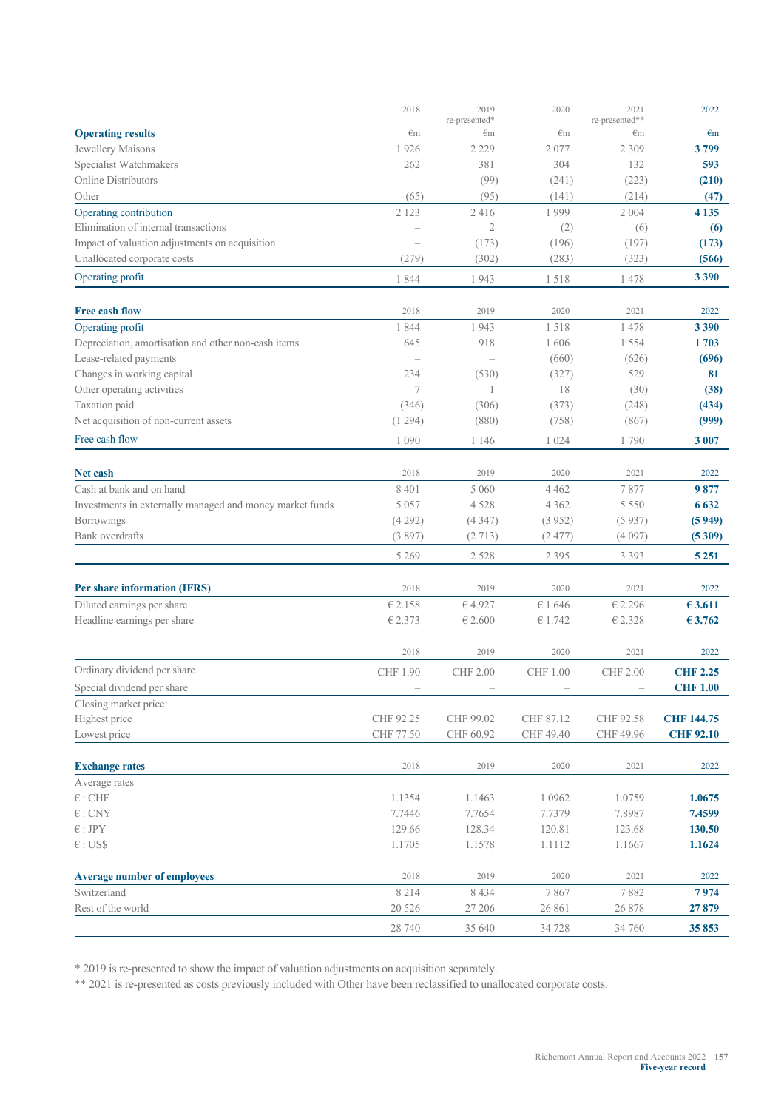|                                                          | 2018                     | 2019                | 2020            | 2021                 | 2022              |
|----------------------------------------------------------|--------------------------|---------------------|-----------------|----------------------|-------------------|
| <b>Operating results</b>                                 | $\epsilon$ m             | re-presented*<br>€m | $\epsilon$ m    | re-presented**<br>€m | $\epsilon$ m      |
| Jewellery Maisons                                        | 1926                     | 2 2 2 9             | 2077            | 2 3 0 9              | 3799              |
| Specialist Watchmakers                                   | 262                      | 381                 | 304             | 132                  | 593               |
| <b>Online Distributors</b>                               | $\overline{\phantom{a}}$ | (99)                | (241)           | (223)                | (210)             |
| Other                                                    | (65)                     | (95)                | (141)           | (214)                | (47)              |
| Operating contribution                                   | 2 1 2 3                  | 2416                | 1999            | 2 0 0 4              | 4 1 3 5           |
| Elimination of internal transactions                     |                          | $\overline{2}$      | (2)             | (6)                  | (6)               |
| Impact of valuation adjustments on acquisition           | $\overline{\phantom{a}}$ | (173)               | (196)           | (197)                | (173)             |
| Unallocated corporate costs                              | (279)                    | (302)               | (283)           | (323)                | (566)             |
| Operating profit                                         | 1844                     | 1943                | 1518            | 1478                 | 3 3 9 0           |
| <b>Free cash flow</b>                                    | 2018                     | 2019                | 2020            | 2021                 | 2022              |
| Operating profit                                         | 1844                     | 1943                | 1518            | 1478                 | 3 3 9 0           |
| Depreciation, amortisation and other non-cash items      | 645                      | 918                 | 1606            | 1 5 5 4              | 1703              |
| Lease-related payments                                   |                          |                     | (660)           | (626)                | (696)             |
| Changes in working capital                               | 234                      | (530)               | (327)           | 529                  | 81                |
| Other operating activities                               | 7                        | 1                   | 18              | (30)                 | (38)              |
| Taxation paid                                            | (346)                    | (306)               | (373)           | (248)                | (434)             |
| Net acquisition of non-current assets                    | (1294)                   | (880)               | (758)           | (867)                | (999)             |
| Free cash flow                                           | 1 0 9 0                  | 1 1 4 6             | 1 0 2 4         | 1790                 | 3 0 0 7           |
| <b>Net cash</b>                                          | 2018                     | 2019                | 2020            | 2021                 | 2022              |
| Cash at bank and on hand                                 | 8 4 0 1                  | 5 0 6 0             | 4 4 6 2         | 7877                 | 9877              |
| Investments in externally managed and money market funds | 5 0 5 7                  | 4 5 2 8             | 4 3 6 2         | 5 5 5 0              | 6 6 3 2           |
| Borrowings                                               | (4292)                   | (4347)              | (3952)          | (5937)               | (5949)            |
| Bank overdrafts                                          | (3897)                   | (2713)              | (2.477)         | (4097)               | (5309)            |
|                                                          | 5 2 6 9                  | 2 5 2 8             | 2 3 9 5         | 3 3 9 3              | 5 2 5 1           |
|                                                          |                          |                     |                 |                      |                   |
| Per share information (IFRS)                             | 2018                     | 2019                | 2020            | 2021                 | 2022              |
| Diluted earnings per share                               | € 2.158                  | €4.927              | € 1.646         | € 2.296              | € 3.611           |
| Headline earnings per share                              | € 2.373                  | €2.600              | € 1.742         | € 2.328              | € 3.762           |
|                                                          | 2018                     | 2019                | 2020            | 2021                 | 2022              |
| Ordinary dividend per share                              | <b>CHF 1.90</b>          | CHF 2.00            | <b>CHF 1.00</b> | CHF 2.00             | <b>CHF 2.25</b>   |
| Special dividend per share                               |                          |                     |                 |                      | <b>CHF 1.00</b>   |
| Closing market price:                                    |                          |                     |                 |                      |                   |
| Highest price                                            | CHF 92.25                | CHF 99.02           | CHF 87.12       | CHF 92.58            | <b>CHF 144.75</b> |
| Lowest price                                             | CHF 77.50                | CHF 60.92           | CHF 49.40       | CHF 49.96            | <b>CHF 92.10</b>  |
| <b>Exchange rates</b>                                    | 2018                     | 2019                | 2020            | 2021                 | 2022              |
| Average rates                                            |                          |                     |                 |                      |                   |
| $\epsilon$ : CHF                                         | 1.1354                   | 1.1463              | 1.0962          | 1.0759               | 1.0675            |
| $\in$ : CNY                                              | 7.7446                   | 7.7654              | 7.7379          | 7.8987               | 7.4599            |
| $\in$ : JPY                                              | 129.66                   | 128.34              | 120.81          | 123.68               | 130.50            |
| $\in$ : US\$                                             | 1.1705                   | 1.1578              | 1.1112          | 1.1667               | 1.1624            |
|                                                          |                          |                     |                 |                      |                   |
| <b>Average number of employees</b>                       | 2018                     | 2019                | 2020            | 2021                 | 2022              |
| Switzerland                                              | 8 2 1 4                  | 8 4 3 4             | 7867            | 7882                 | 7974              |
| Rest of the world                                        | 20 5 26                  | 27 20 6             | 26 861          | 26 878               | 27879             |
|                                                          | 28 740                   | 35 640              | 34 728          | 34 760               | 35853             |

\* 2019 is re-presented to show the impact of valuation adjustments on acquisition separately.

\*\* 2021 is re-presented as costs previously included with Other have been reclassified to unallocated corporate costs.